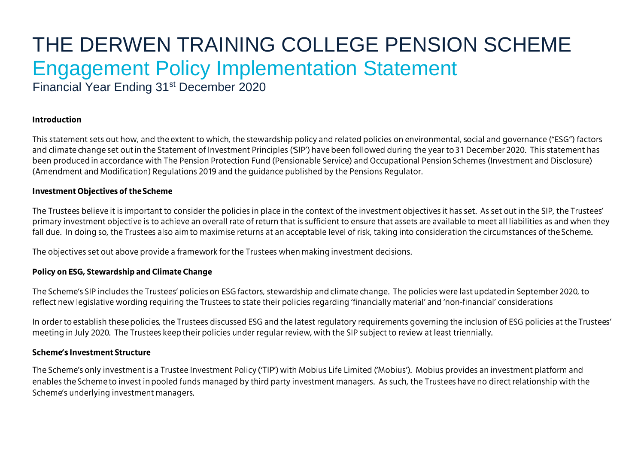# THE DERWEN TRAINING COLLEGE PENSION SCHEME **Engagement Policy Implementation Statement**

Financial Year Ending 31<sup>st</sup> December 2020

## **Introduction**

This statement sets out how, and the extent to which, the stewardship policy and related policies on environmental, social and governance ("ESG") factors and climate change set out in the Statement of Investment Principles ('SIP') have been followed during the year to 31 December 2020. This statement has been produced in accordance with The Pension Protection Fund (Pensionable Service) and Occupational Pension Schemes (Investment and Disclosure) (Amendment and Modification) Regulations 2019 and the guidance published by the Pensions Regulator.

## **Investment Objectives of the Scheme**

The Trustees believe it is important to consider the policies in place in the context of the investment objectives it has set. As set out in the SIP, the Trustees' primary investment objective is to achieve an overall rate of return that is sufficient to ensure that assets are available to meet all liabilities as and when they fall due. In doing so, the Trustees also aim to maximise returns at an acceptable level of risk, taking into consideration the circumstances of the Scheme.

The objectives set out above provide a framework for the Trustees when making investment decisions.

## Policy on ESG, Stewardship and Climate Change

The Scheme's SIP includes the Trustees' policies on ESG factors, stewardship and climate change. The policies were last updated in September 2020, to reflect new legislative wording requiring the Trustees to state their policies regarding 'financially material' and 'non-financial' considerations

In order to establish these policies, the Trustees discussed ESG and the latest regulatory requirements governing the inclusion of ESG policies at the Trustees' meeting in July 2020. The Trustees keep their policies under regular review, with the SIP subject to review at least triennially.

#### **Scheme's Investment Structure**

The Scheme's only investment is a Trustee Investment Policy ('TIP') with Mobius Life Limited ('Mobius'). Mobius provides an investment platform and enables the Scheme to invest in pooled funds managed by third party investment managers. As such, the Trustees have no direct relationship with the Scheme's underlying investment managers.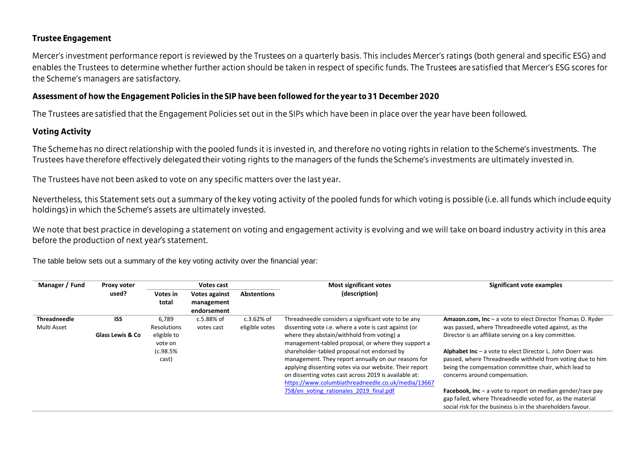## **Trustee Engagement**

Mercer's investment performance report is reviewed by the Trustees on a quarterly basis. This includes Mercer's ratings (both general and specific ESG) and enables the Trustees to determine whether further action should be taken in respect of specific funds. The Trustees are satisfied that Mercer's ESG scores for the Scheme's managers are satisfactory.

## Assessment of how the Engagement Policies in the SIP have been followed for the year to 31 December 2020

The Trustees are satisfied that the Engagement Policies set out in the SIPs which have been in place over the year have been followed.

# **Voting Activity**

The Scheme has no direct relationship with the pooled funds it is invested in, and therefore no voting rights in relation to the Scheme's investments. The Trustees have therefore effectively delegated their voting rights to the managers of the funds the Scheme's investments are ultimately invested in.

The Trustees have not been asked to vote on any specific matters over the last year.

Nevertheless, this Statement sets out a summary of the key voting activity of the pooled funds for which voting is possible (i.e. all funds which include equity holdings) in which the Scheme's assets are ultimately invested.

We note that best practice in developing a statement on voting and engagement activity is evolving and we will take on board industry activity in this area before the production of next year's statement.

| Manager / Fund      |                             | Proxy voter<br>Votes cast |                      | <b>Most significant votes</b> | Significant vote examples                               |                                                                     |
|---------------------|-----------------------------|---------------------------|----------------------|-------------------------------|---------------------------------------------------------|---------------------------------------------------------------------|
|                     | used?                       | Votes in                  | <b>Votes against</b> | <b>Abstentions</b>            | (description)                                           |                                                                     |
|                     |                             | total                     | management           |                               |                                                         |                                                                     |
|                     |                             |                           | endorsement          |                               |                                                         |                                                                     |
| <b>Threadneedle</b> | <b>ISS</b>                  | 6.789                     | c.5.88% of           | $c.3.62%$ of                  | Threadneedle considers a significant vote to be any     | <b>Amazon.com, Inc</b> $-$ a vote to elect Director Thomas O. Ryder |
| Multi Asset         |                             | Resolutions               | votes cast           | eligible votes                | dissenting vote i.e. where a vote is cast against (or   | was passed, where Threadneedle voted against, as the                |
|                     | <b>Glass Lewis &amp; Co</b> | eligible to               |                      |                               | where they abstain/withhold from voting) a              | Director is an affiliate serving on a key committee.                |
|                     |                             | vote on                   |                      |                               | management-tabled proposal, or where they support a     |                                                                     |
|                     |                             | (c.98.5%                  |                      |                               | shareholder-tabled proposal not endorsed by             | <b>Alphabet Inc</b> $-$ a vote to elect Director L. John Doerr was  |
|                     |                             | cast)                     |                      |                               | management. They report annually on our reasons for     | passed, where Threadneedle withheld from voting due to him          |
|                     |                             |                           |                      |                               | applying dissenting votes via our website. Their report | being the compensation committee chair, which lead to               |
|                     |                             |                           |                      |                               | on dissenting votes cast across 2019 is available at:   | concerns around compensation.                                       |
|                     |                             |                           |                      |                               | https://www.columbiathreadneedle.co.uk/media/13667      |                                                                     |
|                     |                             |                           |                      |                               | 758/en voting rationales 2019 final.pdf                 | <b>Facebook, Inc</b> – a vote to report on median gender/race pay   |
|                     |                             |                           |                      |                               |                                                         | gap failed, where Threadneedle voted for, as the material           |
|                     |                             |                           |                      |                               |                                                         | social risk for the business is in the shareholders favour.         |

The table below sets out a summary of the key voting activity over the financial year: